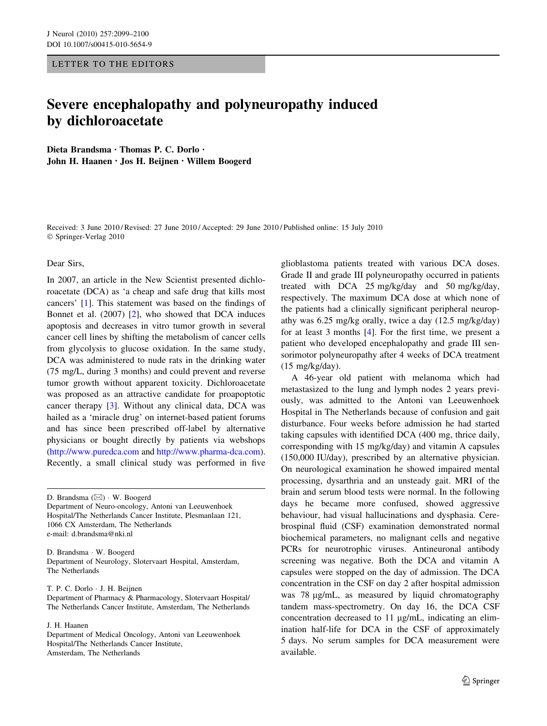## LETTER TO THE EDITORS

# Severe encephalopathy and polyneuropathy induced by dichloroacetate

Dieta Brandsma • Thomas P. C. Dorlo • John H. Haanen • Jos H. Beijnen • Willem Boogerd

Received: 3 June 2010 / Revised: 27 June 2010 / Accepted: 29 June 2010 / Published online: 15 July 2010 © Springer-Verlag 2010

#### Dear Sirs,

In 2007, an article in the New Scientist presented dichloroacetate (DCA) as 'a cheap and safe drug that kills most cancers' [\[1](#page-1-0)]. This statement was based on the findings of Bonnet et al. (2007) [\[2](#page-1-0)], who showed that DCA induces apoptosis and decreases in vitro tumor growth in several cancer cell lines by shifting the metabolism of cancer cells from glycolysis to glucose oxidation. In the same study, DCA was administered to nude rats in the drinking water (75 mg/L, during 3 months) and could prevent and reverse tumor growth without apparent toxicity. Dichloroacetate was proposed as an attractive candidate for proapoptotic cancer therapy [\[3](#page-1-0)]. Without any clinical data, DCA was hailed as a 'miracle drug' on internet-based patient forums and has since been prescribed off-label by alternative physicians or bought directly by patients via webshops [\(http://www.puredca.com](http://www.puredca.com) and <http://www.pharma-dca.com>). Recently, a small clinical study was performed in five

D. Brandsma (&) - W. Boogerd Department of Neuro-oncology, Antoni van Leeuwenhoek Hospital/The Netherlands Cancer Institute, Plesmanlaan 121, 1066 CX Amsterdam, The Netherlands e-mail: d.brandsma@nki.nl

D. Brandsma - W. Boogerd Department of Neurology, Slotervaart Hospital, Amsterdam, The Netherlands

T. P. C. Dorlo - J. H. Beijnen

Department of Pharmacy & Pharmacology, Slotervaart Hospital/ The Netherlands Cancer Institute, Amsterdam, The Netherlands

### J. H. Haanen

Department of Medical Oncology, Antoni van Leeuwenhoek Hospital/The Netherlands Cancer Institute, Amsterdam, The Netherlands

glioblastoma patients treated with various DCA doses. Grade II and grade III polyneuropathy occurred in patients treated with DCA 25 mg/kg/day and 50 mg/kg/day, respectively. The maximum DCA dose at which none of the patients had a clinically significant peripheral neuropathy was 6.25 mg/kg orally, twice a day (12.5 mg/kg/day) for at least 3 months [[4\]](#page-1-0). For the first time, we present a patient who developed encephalopathy and grade III sensorimotor polyneuropathy after 4 weeks of DCA treatment (15 mg/kg/day).

A 46-year old patient with melanoma which had metastasized to the lung and lymph nodes 2 years previously, was admitted to the Antoni van Leeuwenhoek Hospital in The Netherlands because of confusion and gait disturbance. Four weeks before admission he had started taking capsules with identified DCA (400 mg, thrice daily, corresponding with 15 mg/kg/day) and vitamin A capsules (150,000 IU/day), prescribed by an alternative physician. On neurological examination he showed impaired mental processing, dysarthria and an unsteady gait. MRI of the brain and serum blood tests were normal. In the following days he became more confused, showed aggressive behaviour, had visual hallucinations and dysphasia. Cerebrospinal fluid (CSF) examination demonstrated normal biochemical parameters, no malignant cells and negative PCRs for neurotrophic viruses. Antineuronal antibody screening was negative. Both the DCA and vitamin A capsules were stopped on the day of admission. The DCA concentration in the CSF on day 2 after hospital admission was 78 µg/mL, as measured by liquid chromatography tandem mass-spectrometry. On day 16, the DCA CSF concentration decreased to  $11 \mu g/mL$ , indicating an elimination half-life for DCA in the CSF of approximately 5 days. No serum samples for DCA measurement were available.